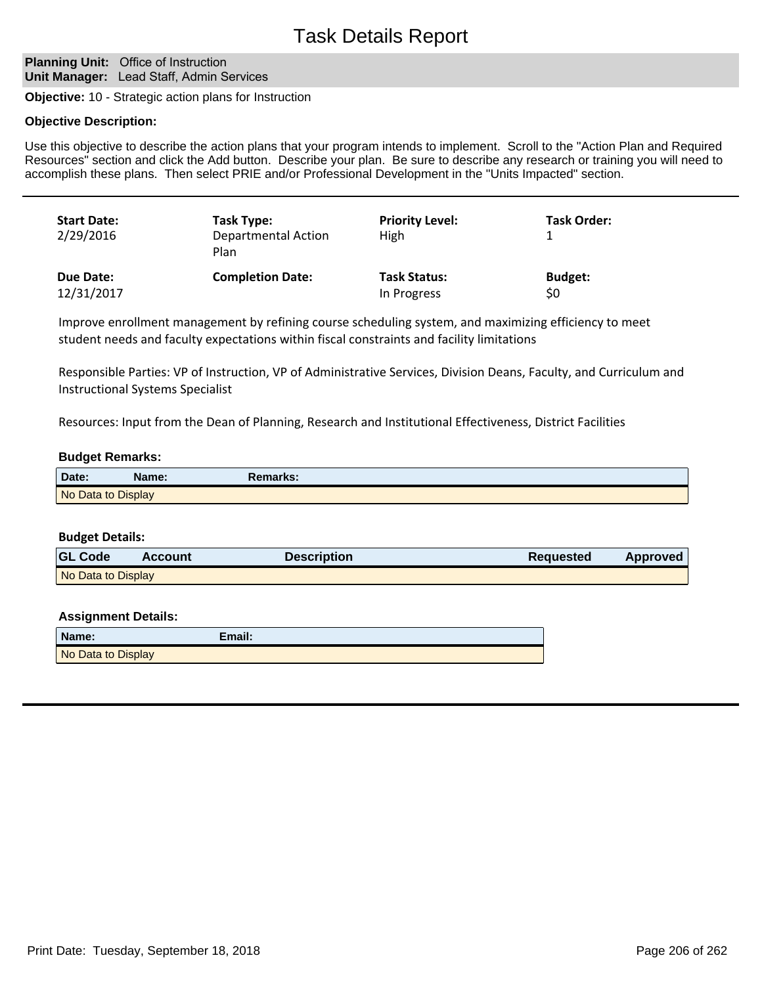#### **Planning Unit: Office of Instruction Unit Manager:** Lead Staff, Admin Services

**Objective:** 10 - Strategic action plans for Instruction

#### **Objective Description:**

Use this objective to describe the action plans that your program intends to implement. Scroll to the "Action Plan and Required Resources" section and click the Add button. Describe your plan. Be sure to describe any research or training you will need to accomplish these plans. Then select PRIE and/or Professional Development in the "Units Impacted" section.

| <b>Start Date:</b><br>2/29/2016 | Task Type:<br><b>Departmental Action</b><br>Plan | <b>Priority Level:</b><br>High | <b>Task Order:</b> |
|---------------------------------|--------------------------------------------------|--------------------------------|--------------------|
| Due Date:                       | <b>Completion Date:</b>                          | <b>Task Status:</b>            | <b>Budget:</b>     |
| 12/31/2017                      |                                                  | In Progress                    | \$0                |

Improve enrollment management by refining course scheduling system, and maximizing efficiency to meet student needs and faculty expectations within fiscal constraints and facility limitations

Responsible Parties: VP of Instruction, VP of Administrative Services, Division Deans, Faculty, and Curriculum and Instructional Systems Specialist

Resources: Input from the Dean of Planning, Research and Institutional Effectiveness, District Facilities

#### **Budget Remarks:**

| Date:              | Name: | Remarks: |
|--------------------|-------|----------|
| No Data to Display |       |          |

#### **Budget Details:**

| <b>GL Code</b>     | <b>Account</b> | <b>Description</b> | Requested | Approved |
|--------------------|----------------|--------------------|-----------|----------|
| No Data to Display |                |                    |           |          |

| Name:              | Email: |
|--------------------|--------|
| No Data to Display |        |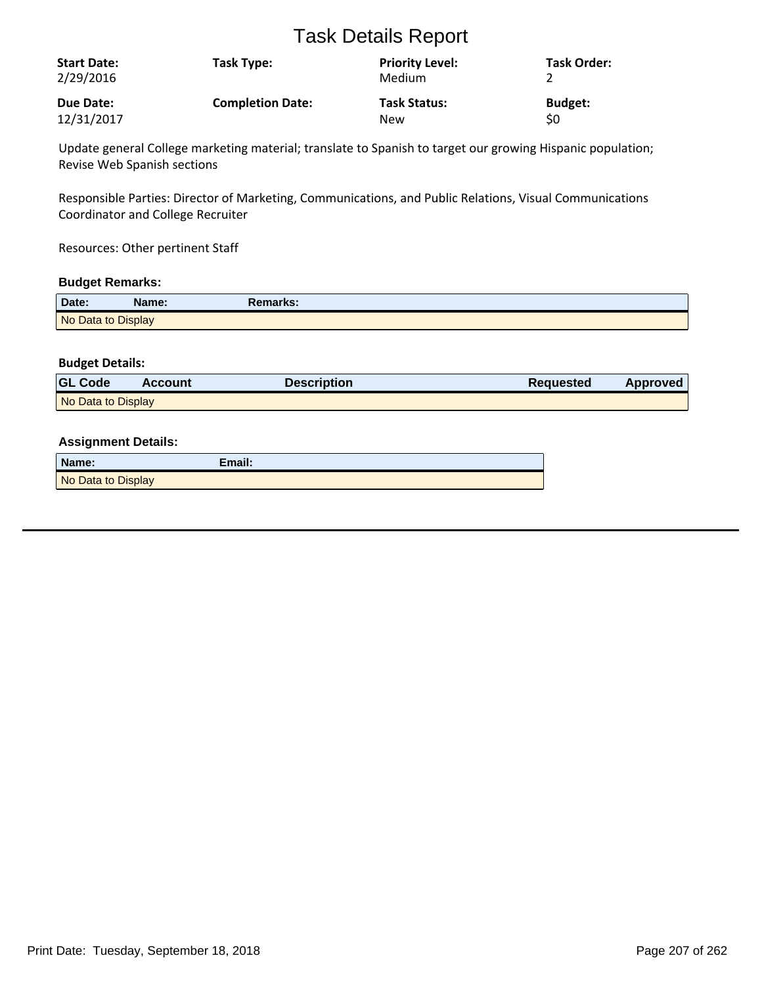| <b>Start Date:</b><br>2/29/2016 | Task Type:              | <b>Priority Level:</b><br>Medium | <b>Task Order:</b> |
|---------------------------------|-------------------------|----------------------------------|--------------------|
| Due Date:                       | <b>Completion Date:</b> | <b>Task Status:</b>              | <b>Budget:</b>     |
| 12/31/2017                      |                         | <b>New</b>                       | \$0                |

Update general College marketing material; translate to Spanish to target our growing Hispanic population; Revise Web Spanish sections

Responsible Parties: Director of Marketing, Communications, and Public Relations, Visual Communications Coordinator and College Recruiter

Resources: Other pertinent Staff

#### **Budget Remarks:**

| Date:              | Name: | Remarks: |
|--------------------|-------|----------|
| No Data to Display |       |          |

#### **Budget Details:**

| <b>GL Code</b>     | Account | Description | <b>Requested</b> | Approved |
|--------------------|---------|-------------|------------------|----------|
| No Data to Display |         |             |                  |          |

| Name:              | Email: |
|--------------------|--------|
| No Data to Display |        |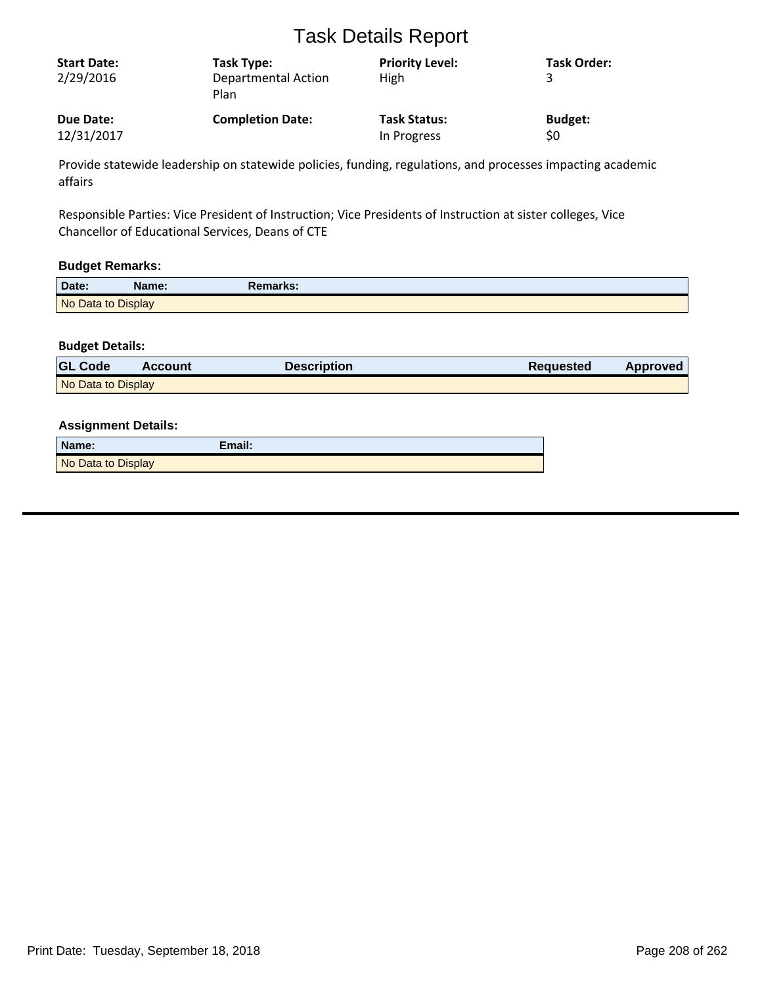| <b>Start Date:</b><br>2/29/2016 | Task Type:<br><b>Departmental Action</b><br>Plan | <b>Priority Level:</b><br><b>High</b> | <b>Task Order:</b> |
|---------------------------------|--------------------------------------------------|---------------------------------------|--------------------|
| Due Date:                       | <b>Completion Date:</b>                          | <b>Task Status:</b>                   | <b>Budget:</b>     |
| 12/31/2017                      |                                                  | In Progress                           | \$0                |

Provide statewide leadership on statewide policies, funding, regulations, and processes impacting academic affairs

Responsible Parties: Vice President of Instruction; Vice Presidents of Instruction at sister colleges, Vice Chancellor of Educational Services, Deans of CTE

#### **Budget Remarks:**

| Date:              | Name: | Remarks: |  |
|--------------------|-------|----------|--|
| No Data to Display |       |          |  |

#### **Budget Details:**

| <b>GL Code</b>     | <b>Account</b> | <b>Description</b> | Requested | Approved |
|--------------------|----------------|--------------------|-----------|----------|
| No Data to Display |                |                    |           |          |

| Name:              | Email: |
|--------------------|--------|
| No Data to Display |        |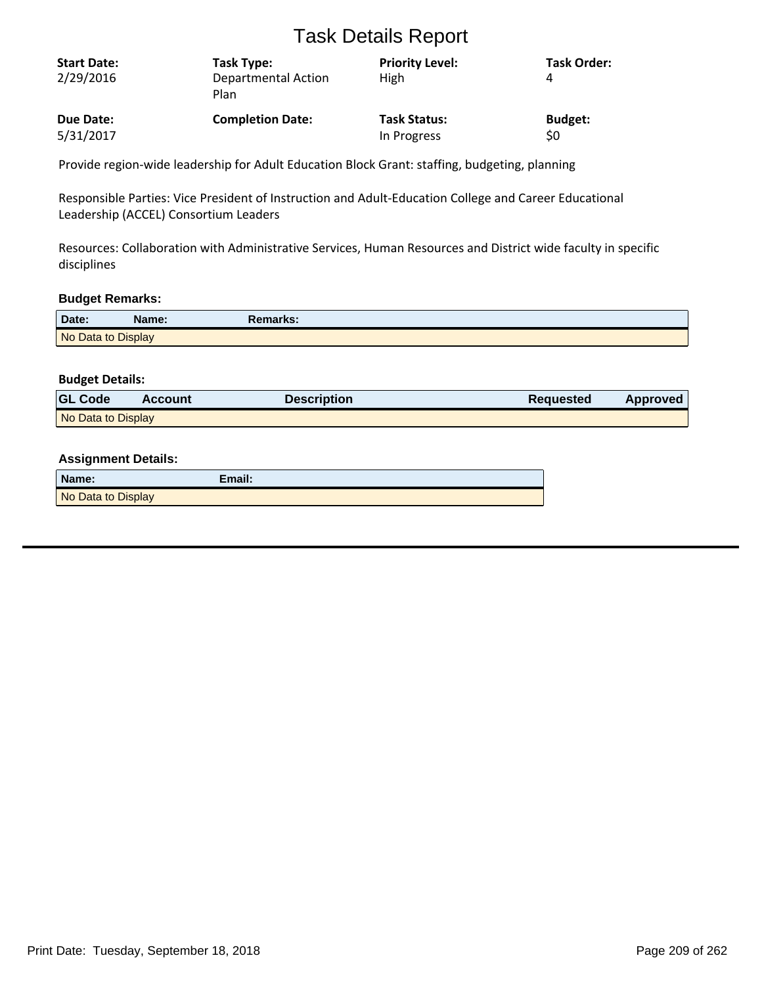| <b>Start Date:</b><br>2/29/2016 | Task Type:<br>Departmental Action<br>Plan | <b>Priority Level:</b><br>High | <b>Task Order:</b><br>4 |
|---------------------------------|-------------------------------------------|--------------------------------|-------------------------|
| Due Date:                       | <b>Completion Date:</b>                   | <b>Task Status:</b>            | <b>Budget:</b>          |
| 5/31/2017                       |                                           | In Progress                    | \$0                     |

Provide region-wide leadership for Adult Education Block Grant: staffing, budgeting, planning

Responsible Parties: Vice President of Instruction and Adult-Education College and Career Educational Leadership (ACCEL) Consortium Leaders

Resources: Collaboration with Administrative Services, Human Resources and District wide faculty in specific disciplines

#### **Budget Remarks:**

| Date:              | Name: | Remarks: |  |
|--------------------|-------|----------|--|
| No Data to Display |       |          |  |

#### **Budget Details:**

| <b>GL Code</b>     | <b>Account</b> | <b>Description</b> | <b>Requested</b> | <b>Approved</b> |
|--------------------|----------------|--------------------|------------------|-----------------|
| No Data to Display |                |                    |                  |                 |

| Name:              | Email: |
|--------------------|--------|
| No Data to Display |        |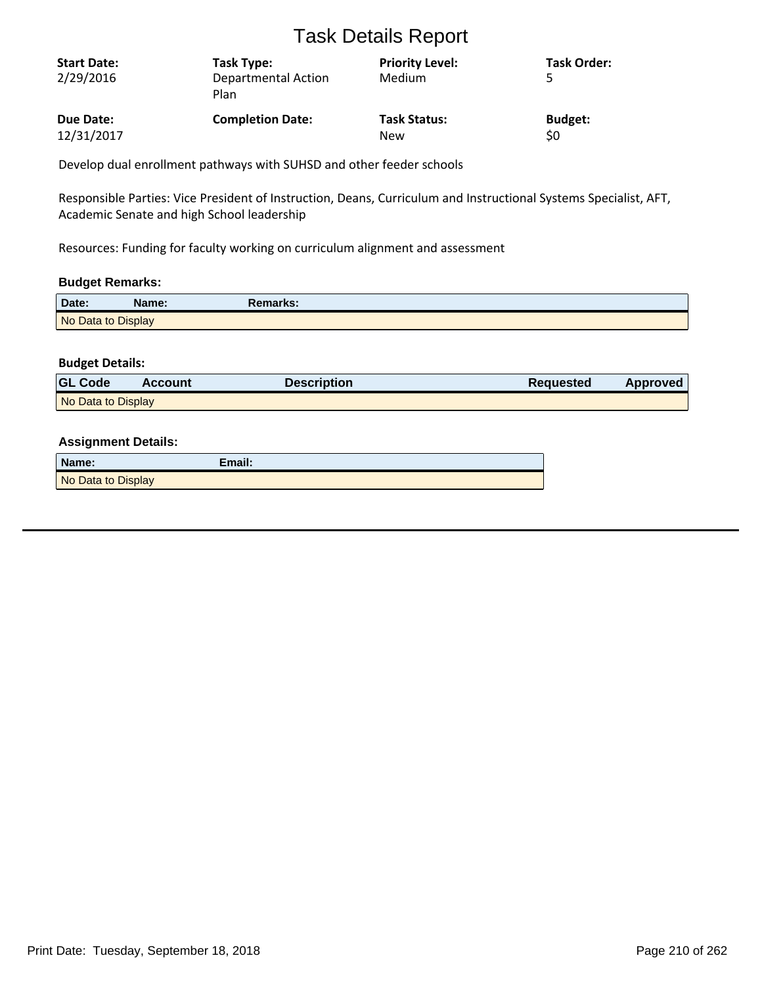| <b>Start Date:</b><br>2/29/2016 | Task Type:<br><b>Departmental Action</b><br>Plan | <b>Priority Level:</b><br>Medium | <b>Task Order:</b> |
|---------------------------------|--------------------------------------------------|----------------------------------|--------------------|
| Due Date:                       | <b>Completion Date:</b>                          | <b>Task Status:</b>              | <b>Budget:</b>     |
| 12/31/2017                      |                                                  | New                              | \$0                |

Develop dual enrollment pathways with SUHSD and other feeder schools

Responsible Parties: Vice President of Instruction, Deans, Curriculum and Instructional Systems Specialist, AFT, Academic Senate and high School leadership

Resources: Funding for faculty working on curriculum alignment and assessment

#### **Budget Remarks:**

| Date:              | Name: | Remarks: |
|--------------------|-------|----------|
| No Data to Display |       |          |

#### **Budget Details:**

| <b>GL Code</b>     | <b>Account</b> | <b>Description</b> | Requested | Approved |
|--------------------|----------------|--------------------|-----------|----------|
| No Data to Display |                |                    |           |          |

| Name:              | Email: |
|--------------------|--------|
| No Data to Display |        |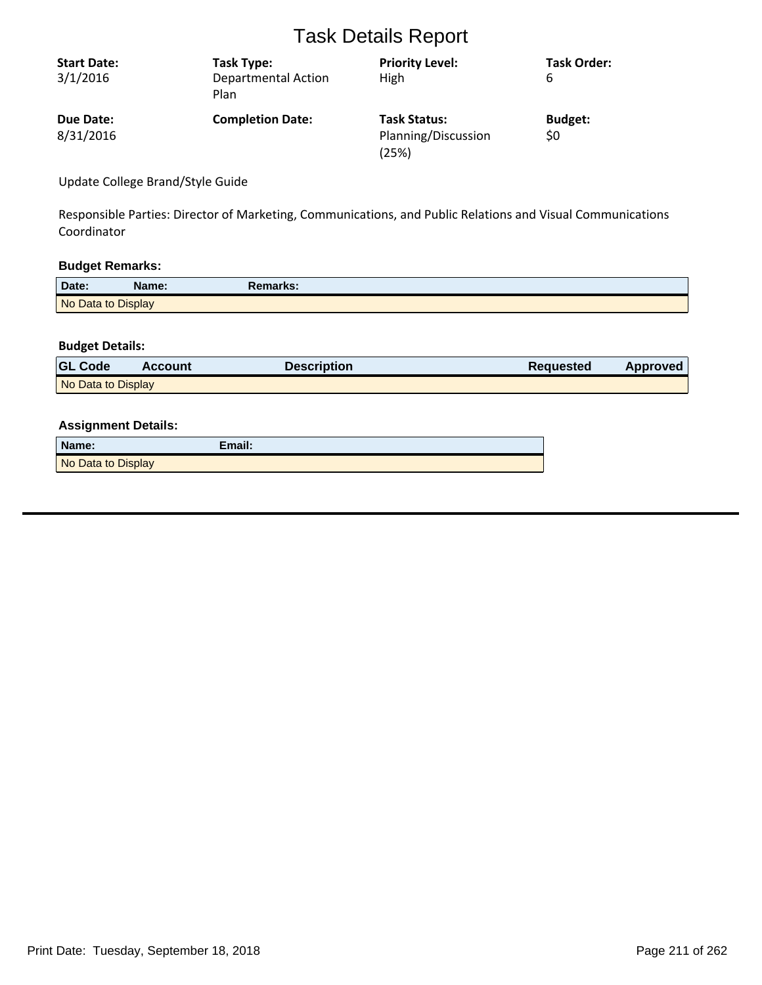| <b>Start Date:</b><br>3/1/2016 | Task Type:<br><b>Departmental Action</b><br>Plan | <b>Priority Level:</b><br>High                      | <b>Task Order:</b><br>6 |
|--------------------------------|--------------------------------------------------|-----------------------------------------------------|-------------------------|
| Due Date:<br>8/31/2016         | <b>Completion Date:</b>                          | <b>Task Status:</b><br>Planning/Discussion<br>(25%) | <b>Budget:</b><br>\$0   |

Update College Brand/Style Guide

Responsible Parties: Director of Marketing, Communications, and Public Relations and Visual Communications Coordinator

#### **Budget Remarks:**

| Date:              | Name: | Remarks: |  |
|--------------------|-------|----------|--|
| No Data to Display |       |          |  |

### **Budget Details:**

| <b>GL Code</b>     | <b>Account</b> | Description | <b>Requested</b> | Approved |
|--------------------|----------------|-------------|------------------|----------|
| No Data to Display |                |             |                  |          |

| Name:              | Email: |
|--------------------|--------|
| No Data to Display |        |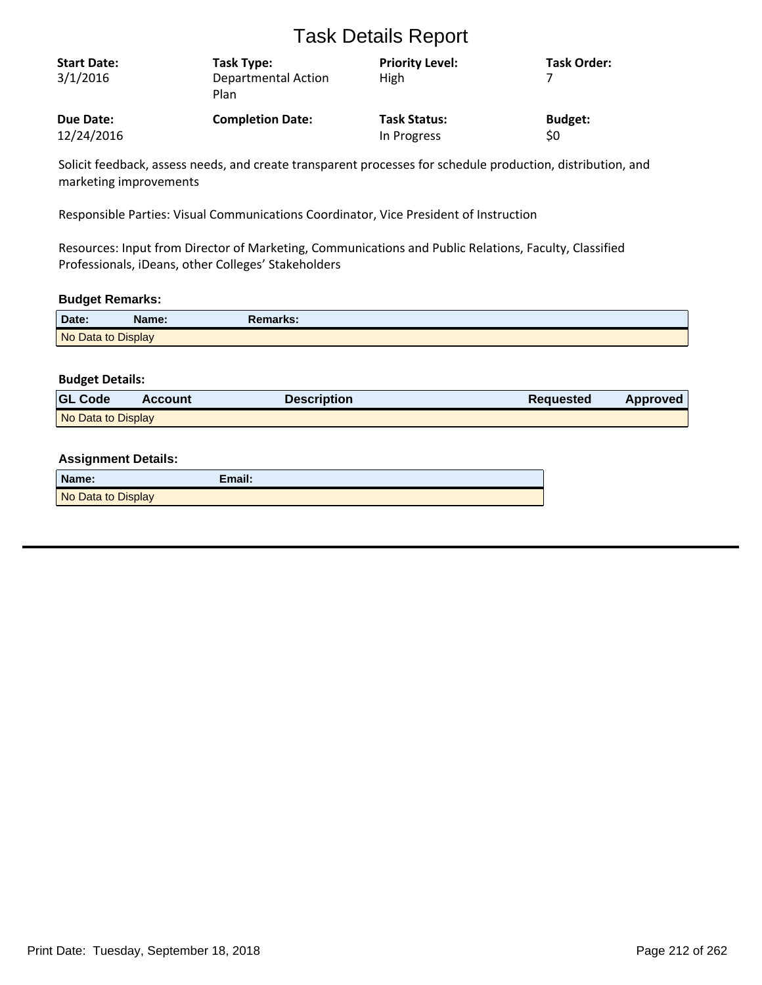| <b>Start Date:</b><br>3/1/2016 | Task Type:<br>Departmental Action<br>Plan | <b>Priority Level:</b><br>High | <b>Task Order:</b> |
|--------------------------------|-------------------------------------------|--------------------------------|--------------------|
| Due Date:                      | <b>Completion Date:</b>                   | <b>Task Status:</b>            | <b>Budget:</b>     |
| 12/24/2016                     |                                           | In Progress                    | \$0                |

Solicit feedback, assess needs, and create transparent processes for schedule production, distribution, and marketing improvements

Responsible Parties: Visual Communications Coordinator, Vice President of Instruction

Resources: Input from Director of Marketing, Communications and Public Relations, Faculty, Classified Professionals, iDeans, other Colleges' Stakeholders

#### **Budget Remarks:**

| Date:              | Name: | Remarks: |  |
|--------------------|-------|----------|--|
| No Data to Display |       |          |  |

#### **Budget Details:**

| <b>GL Code</b>     | <b>Account</b> | <b>Description</b> | <b>Requested</b> | <b>Approved</b> |
|--------------------|----------------|--------------------|------------------|-----------------|
| No Data to Display |                |                    |                  |                 |

| Name:              | Email: |
|--------------------|--------|
| No Data to Display |        |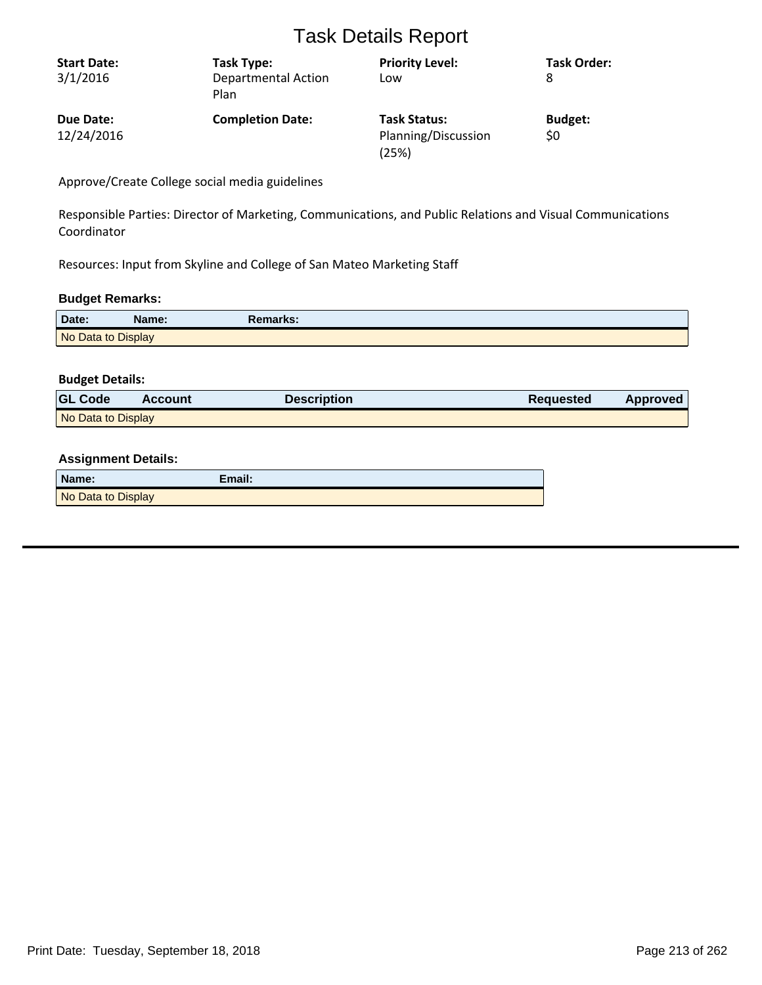| <b>Start Date:</b> | Task Type:                         | <b>Priority Level:</b>       | <b>Task Order:</b> |
|--------------------|------------------------------------|------------------------------|--------------------|
| 3/1/2016           | <b>Departmental Action</b><br>Plan | Low                          | 8                  |
| Due Date:          | <b>Completion Date:</b>            | <b>Task Status:</b>          | <b>Budget:</b>     |
| 12/24/2016         |                                    | Planning/Discussion<br>(25%) | \$0                |

Approve/Create College social media guidelines

Responsible Parties: Director of Marketing, Communications, and Public Relations and Visual Communications Coordinator

Resources: Input from Skyline and College of San Mateo Marketing Staff

### **Budget Remarks:**

| Date:              | Name: | <b>Remarks:</b> |
|--------------------|-------|-----------------|
| No Data to Display |       |                 |

#### **Budget Details:**

| <b>GL Code</b>     | <b>Account</b> | <b>Description</b> | <b>Requested</b> | <b>Approved</b> |
|--------------------|----------------|--------------------|------------------|-----------------|
| No Data to Display |                |                    |                  |                 |

| Name:              | Email: |
|--------------------|--------|
| No Data to Display |        |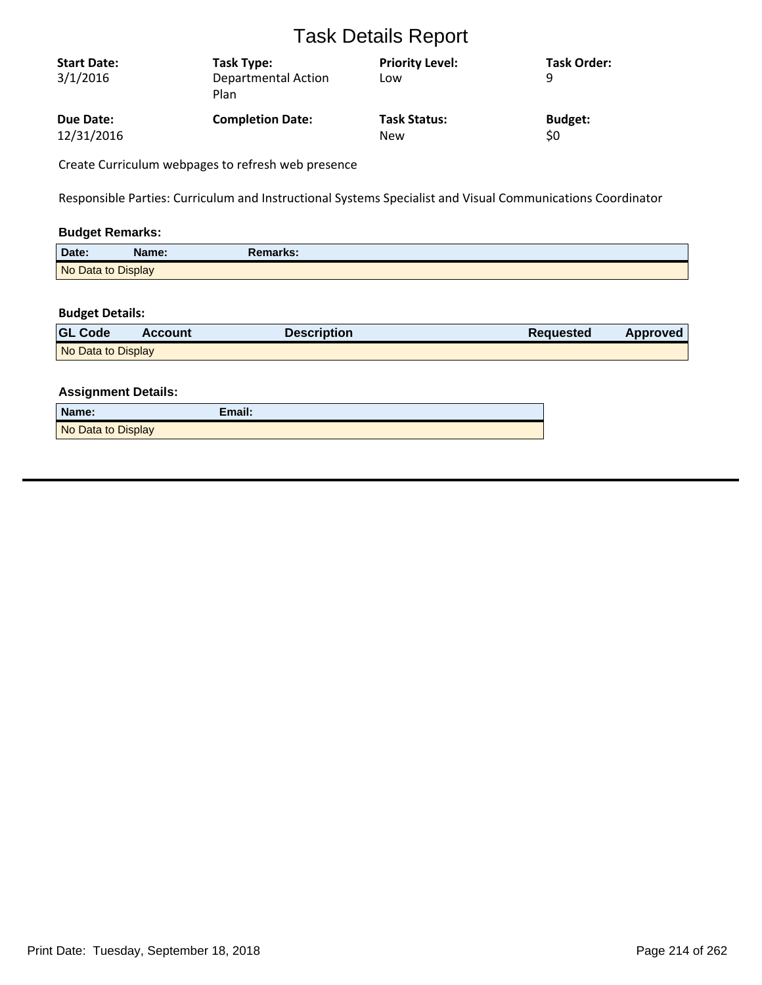| <b>Start Date:</b><br>3/1/2016 | Task Type:<br>Departmental Action<br>Plan | <b>Priority Level:</b><br>Low | <b>Task Order:</b><br>q |
|--------------------------------|-------------------------------------------|-------------------------------|-------------------------|
| Due Date:                      | <b>Completion Date:</b>                   | <b>Task Status:</b>           | <b>Budget:</b>          |
| 12/31/2016                     |                                           | <b>New</b>                    | \$0                     |

Create Curriculum webpages to refresh web presence

Responsible Parties: Curriculum and Instructional Systems Specialist and Visual Communications Coordinator

### **Budget Remarks:**

| Date:              | Name: | <b>Remarks:</b> |  |
|--------------------|-------|-----------------|--|
| No Data to Display |       |                 |  |

#### **Budget Details:**

| <b>GL Code</b>     | <b>Account</b> | <b>Description</b> | Requested | <b>Approved</b> |
|--------------------|----------------|--------------------|-----------|-----------------|
| No Data to Display |                |                    |           |                 |

| Name:              | Email: |
|--------------------|--------|
| No Data to Display |        |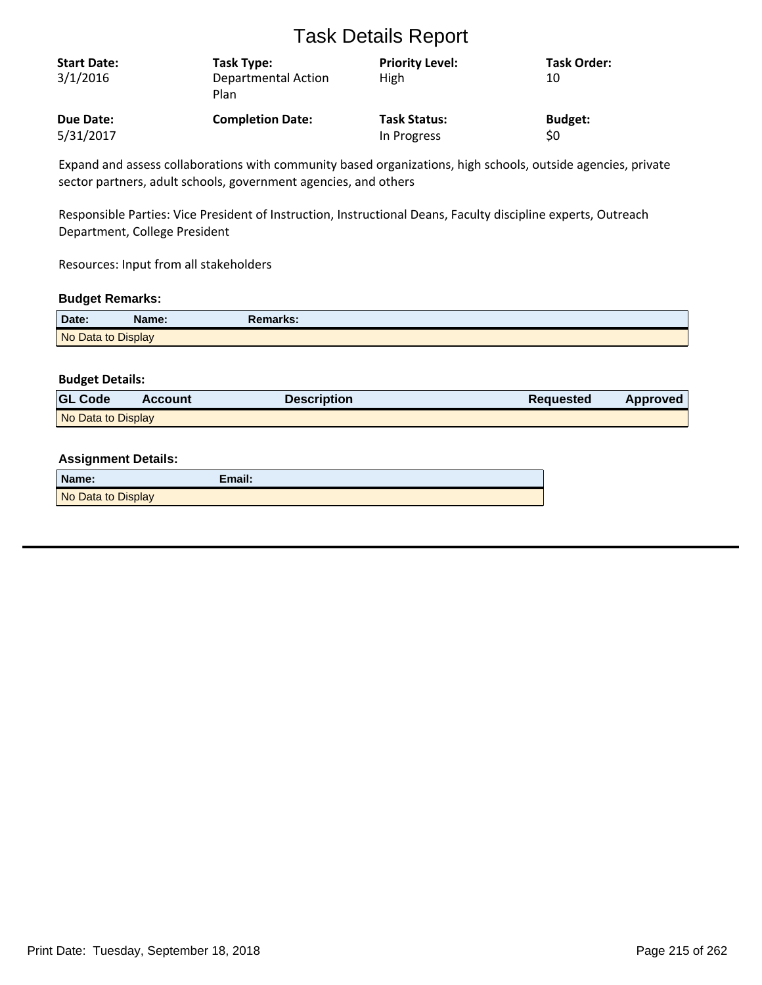| <b>Start Date:</b><br>3/1/2016 | Task Type:<br><b>Departmental Action</b><br>Plan | <b>Priority Level:</b><br>High | <b>Task Order:</b><br>10 |
|--------------------------------|--------------------------------------------------|--------------------------------|--------------------------|
| <b>Due Date:</b>               | <b>Completion Date:</b>                          | <b>Task Status:</b>            | <b>Budget:</b>           |
| 5/31/2017                      |                                                  | In Progress                    | \$0                      |

Expand and assess collaborations with community based organizations, high schools, outside agencies, private sector partners, adult schools, government agencies, and others

Responsible Parties: Vice President of Instruction, Instructional Deans, Faculty discipline experts, Outreach Department, College President

Resources: Input from all stakeholders

#### **Budget Remarks:**

| Date:              | Name: | <b>Remarks:</b> |
|--------------------|-------|-----------------|
| No Data to Display |       |                 |

#### **Budget Details:**

| <b>GL Code</b>     | <b>Account</b> | <b>Description</b> | <b>Requested</b> | <b>Approved</b> |
|--------------------|----------------|--------------------|------------------|-----------------|
| No Data to Display |                |                    |                  |                 |

| Name:              | Email: |
|--------------------|--------|
| No Data to Display |        |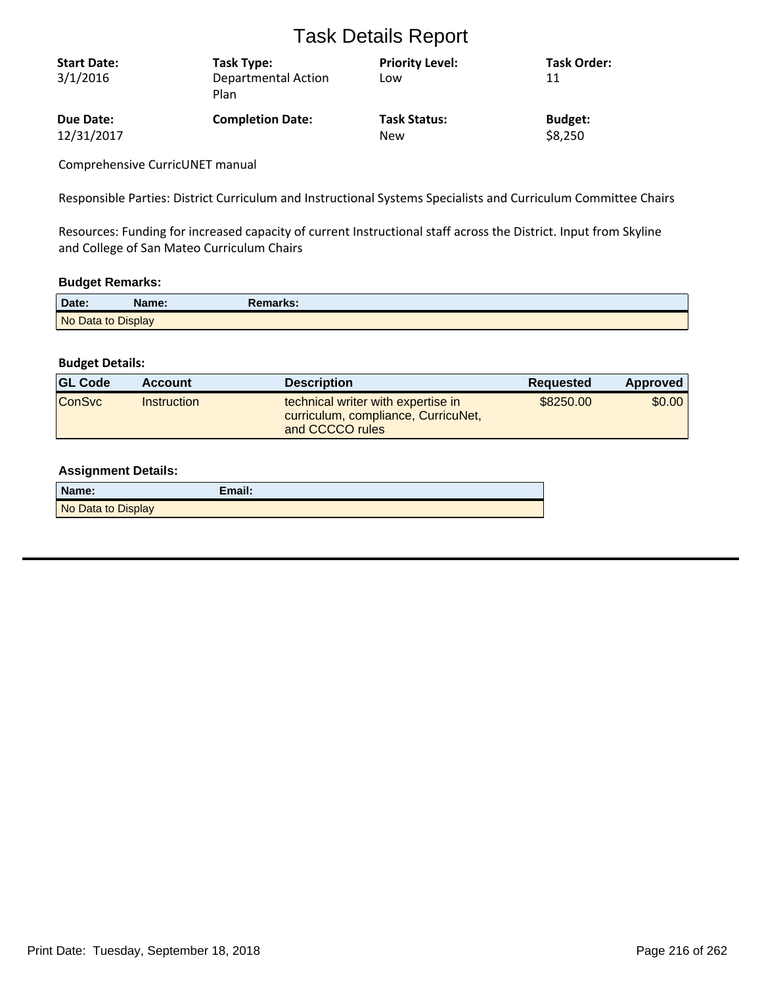| <b>Start Date:</b><br>3/1/2016 | Task Type:<br><b>Departmental Action</b><br>Plan | <b>Priority Level:</b><br>Low | <b>Task Order:</b><br>11 |
|--------------------------------|--------------------------------------------------|-------------------------------|--------------------------|
| Due Date:                      | <b>Completion Date:</b>                          | <b>Task Status:</b>           | <b>Budget:</b>           |
| 12/31/2017                     |                                                  | <b>New</b>                    | \$8,250                  |

Comprehensive CurricUNET manual

Responsible Parties: District Curriculum and Instructional Systems Specialists and Curriculum Committee Chairs

Resources: Funding for increased capacity of current Instructional staff across the District. Input from Skyline and College of San Mateo Curriculum Chairs

#### **Budget Remarks:**

| Date:              | Name: | Remarks: |  |
|--------------------|-------|----------|--|
| No Data to Display |       |          |  |

#### **Budget Details:**

| <b>GL Code</b> | <b>Account</b> | <b>Description</b>                                                                           | <b>Requested</b> | Approved |
|----------------|----------------|----------------------------------------------------------------------------------------------|------------------|----------|
| <b>ConSvc</b>  | Instruction    | technical writer with expertise in<br>curriculum, compliance, CurricuNet,<br>and CCCCO rules | \$8250.00        | \$0.00   |

| Name:              | $E$ mail: |
|--------------------|-----------|
| No Data to Display |           |